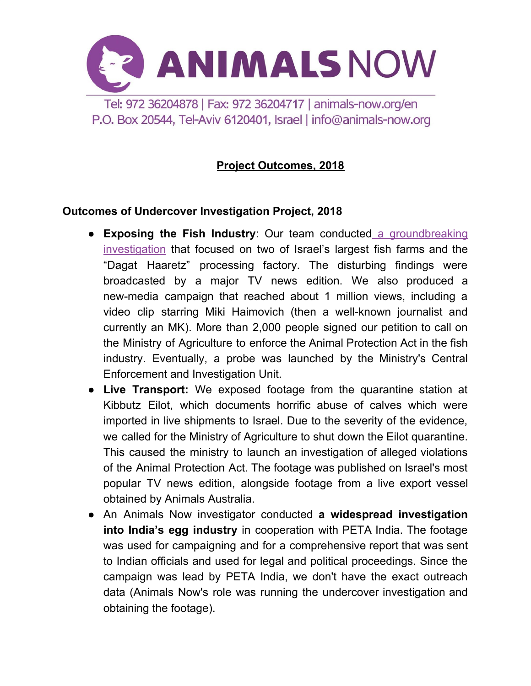

P.O. Box 20544, Tel-Aviv 6120401, Israel | info@animals-now.org

# **Project Outcomes, 2018**

### **Outcomes of Undercover Investigation Project, 2018**

- **Exposing the Fish Industry**: Our team conducted a [groundbreaking](https://animals-now.org/en/investigations/fish/) [investigation](https://animals-now.org/en/investigations/fish/) that focused on two of Israel's largest fish farms and the "Dagat Haaretz" processing factory. The disturbing findings were broadcasted by a major TV news edition. We also produced a new-media campaign that reached about 1 million views, including a video clip starring Miki Haimovich (then a well-known journalist and currently an MK). More than 2,000 people signed our petition to call on the Ministry of Agriculture to enforce the Animal Protection Act in the fish industry. Eventually, a probe was launched by the Ministry's Central Enforcement and Investigation Unit.
- **Live Transport:** We exposed footage from the quarantine station at Kibbutz Eilot, which documents horrific abuse of calves which were imported in live shipments to Israel. Due to the severity of the evidence, we called for the Ministry of Agriculture to shut down the Eilot quarantine. This caused the ministry to launch an investigation of alleged violations of the Animal Protection Act. The footage was published on Israel's most popular TV news edition, alongside footage from a live export vessel obtained by Animals Australia.
- An Animals Now investigator conducted **a widespread investigation into India's egg industry** in cooperation with PETA India. The footage was used for campaigning and for a comprehensive report that was sent to Indian officials and used for legal and political proceedings. Since the campaign was lead by PETA India, we don't have the exact outreach data (Animals Now's role was running the undercover investigation and obtaining the footage).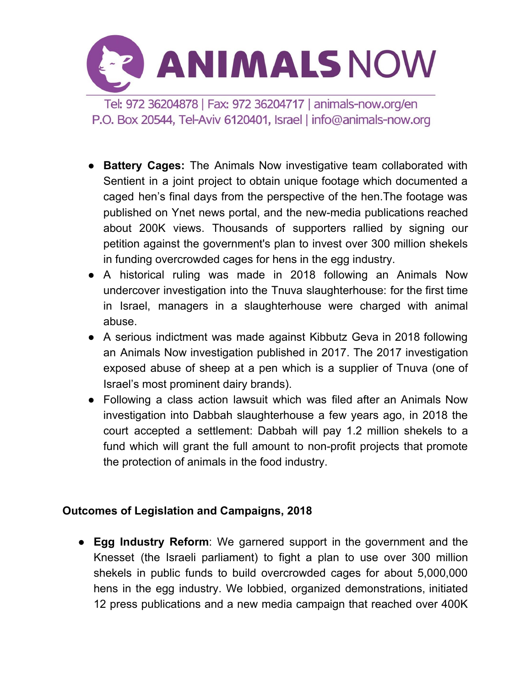

- **Battery Cages:** The Animals Now investigative team collaborated with Sentient in a joint project to obtain unique footage which documented a caged hen's final days from the perspective of the hen.The footage was published on Ynet news portal, and the new-media publications reached about 200K views. Thousands of supporters rallied by signing our petition against the government's plan to invest over 300 million shekels in funding overcrowded cages for hens in the egg industry.
- A historical ruling was made in 2018 following an Animals Now undercover investigation into the Tnuva slaughterhouse: for the first time in Israel, managers in a slaughterhouse were charged with animal abuse.
- A serious indictment was made against Kibbutz Geva in 2018 following an Animals Now investigation published in 2017. The 2017 investigation exposed abuse of sheep at a pen which is a supplier of Tnuva (one of Israel's most prominent dairy brands).
- Following a class action lawsuit which was filed after an Animals Now investigation into Dabbah slaughterhouse a few years ago, in 2018 the court accepted a settlement: Dabbah will pay 1.2 million shekels to a fund which will grant the full amount to non-profit projects that promote the protection of animals in the food industry.

## **Outcomes of Legislation and Campaigns, 2018**

● **Egg Industry Reform**: We garnered support in the government and the Knesset (the Israeli parliament) to fight a plan to use over 300 million shekels in public funds to build overcrowded cages for about 5,000,000 hens in the egg industry. We lobbied, organized demonstrations, initiated 12 press publications and a new media campaign that reached over 400K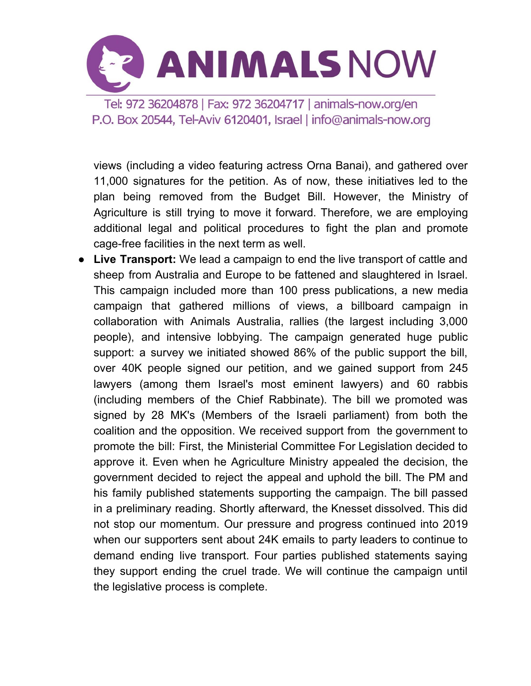

views (including a video featuring actress Orna Banai), and gathered over 11,000 signatures for the petition. As of now, these initiatives led to the plan being removed from the Budget Bill. However, the Ministry of Agriculture is still trying to move it forward. Therefore, we are employing additional legal and political procedures to fight the plan and promote cage-free facilities in the next term as well.

● **Live Transport:** We lead a campaign to end the live transport of cattle and sheep from Australia and Europe to be fattened and slaughtered in Israel. This campaign included more than 100 press publications, a new media campaign that gathered millions of views, a billboard campaign in collaboration with Animals Australia, rallies (the largest including 3,000 people), and intensive lobbying. The campaign generated huge public support: a survey we initiated showed 86% of the public support the bill, over 40K people signed our petition, and we gained support from 245 lawyers (among them Israel's most eminent lawyers) and 60 rabbis (including members of the Chief Rabbinate). The bill we promoted was signed by 28 MK's (Members of the Israeli parliament) from both the coalition and the opposition. We received support from the government to promote the bill: First, the Ministerial Committee For Legislation decided to approve it. Even when he Agriculture Ministry appealed the decision, the government decided to reject the appeal and uphold the bill. The PM and his family published statements supporting the campaign. The bill passed in a preliminary reading. Shortly afterward, the Knesset dissolved. This did not stop our momentum. Our pressure and progress continued into 2019 when our supporters sent about 24K emails to party leaders to continue to demand ending live transport. Four parties published statements saying they support ending the cruel trade. We will continue the campaign until the legislative process is complete.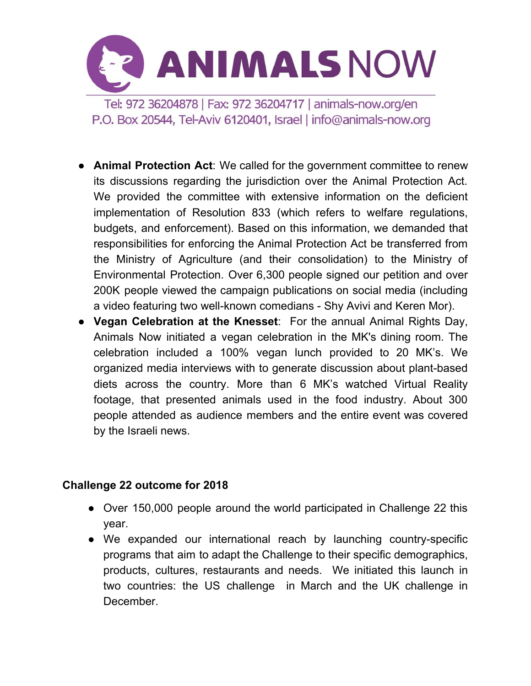

- **Animal Protection Act**: We called for the government committee to renew its discussions regarding the jurisdiction over the Animal Protection Act. We provided the committee with extensive information on the deficient implementation of Resolution 833 (which refers to welfare regulations, budgets, and enforcement). Based on this information, we demanded that responsibilities for enforcing the Animal Protection Act be transferred from the Ministry of Agriculture (and their consolidation) to the Ministry of Environmental Protection. Over 6,300 people signed our petition and over 200K people viewed the campaign publications on social media (including a video featuring two well-known comedians - Shy Avivi and Keren Mor).
- **Vegan Celebration at the Knesset**: For the annual Animal Rights Day, Animals Now initiated a vegan celebration in the MK's dining room. The celebration included a 100% vegan lunch provided to 20 MK's. We organized media interviews with to generate discussion about plant-based diets across the country. More than 6 MK's watched Virtual Reality footage, that presented animals used in the food industry. About 300 people attended as audience members and the entire event was covered by the Israeli news.

### **Challenge 22 outcome for 2018**

- Over 150,000 people around the world participated in Challenge 22 this year.
- We expanded our international reach by launching country-specific programs that aim to adapt the Challenge to their specific demographics, products, cultures, restaurants and needs. We initiated this launch in two countries: the US challenge in March and the UK challenge in December.